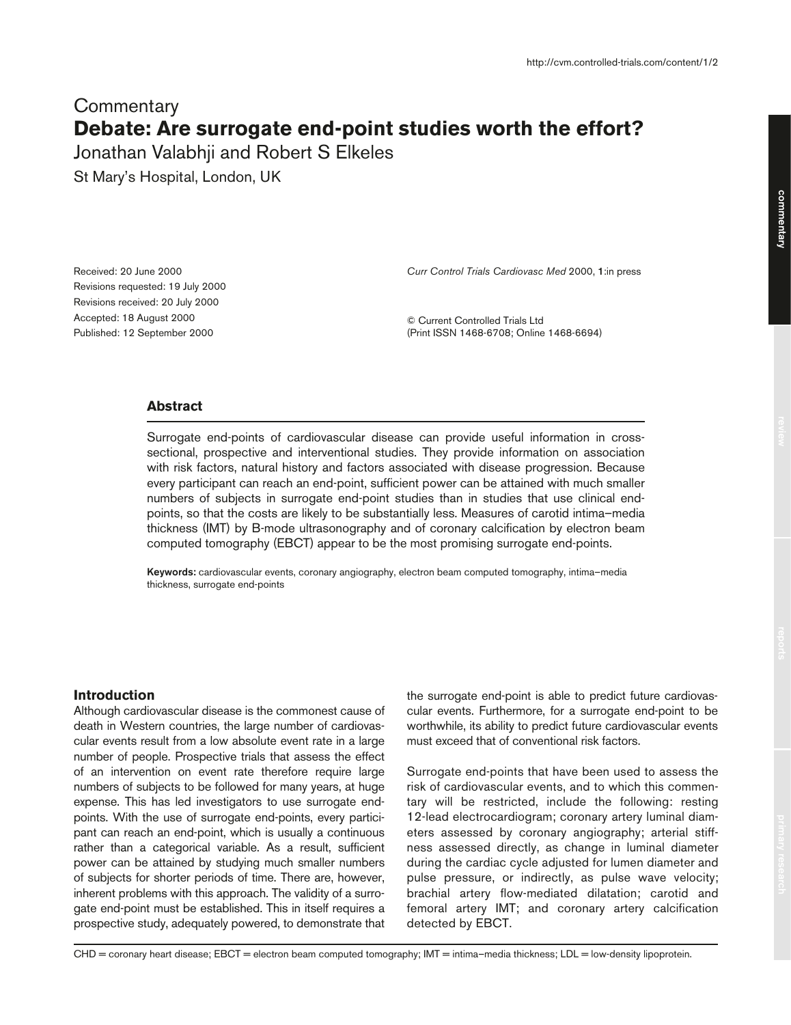# **Commentary Debate: Are surrogate end-point studies worth the effort?**

Jonathan Valabhji and Robert S Elkeles

St Mary's Hospital, London, UK

Received: 20 June 2000 Revisions requested: 19 July 2000 Revisions received: 20 July 2000 Accepted: 18 August 2000 Published: 12 September 2000

*Curr Control Trials Cardiovasc Med* 2000, **1**:in press

© Current Controlled Trials Ltd (Print ISSN 1468-6708; Online 1468-6694)

## **Abstract**

Surrogate end-points of cardiovascular disease can provide useful information in crosssectional, prospective and interventional studies. They provide information on association with risk factors, natural history and factors associated with disease progression. Because every participant can reach an end-point, sufficient power can be attained with much smaller numbers of subjects in surrogate end-point studies than in studies that use clinical endpoints, so that the costs are likely to be substantially less. Measures of carotid intima–media thickness (IMT) by B-mode ultrasonography and of coronary calcification by electron beam computed tomography (EBCT) appear to be the most promising surrogate end-points.

**Keywords:** cardiovascular events, coronary angiography, electron beam computed tomography, intima–media thickness, surrogate end-points

#### **Introduction**

Although cardiovascular disease is the commonest cause of death in Western countries, the large number of cardiovascular events result from a low absolute event rate in a large number of people. Prospective trials that assess the effect of an intervention on event rate therefore require large numbers of subjects to be followed for many years, at huge expense. This has led investigators to use surrogate endpoints. With the use of surrogate end-points, every participant can reach an end-point, which is usually a continuous rather than a categorical variable. As a result, sufficient power can be attained by studying much smaller numbers of subjects for shorter periods of time. There are, however, inherent problems with this approach. The validity of a surrogate end-point must be established. This in itself requires a prospective study, adequately powered, to demonstrate that the surrogate end-point is able to predict future cardiovascular events. Furthermore, for a surrogate end-point to be worthwhile, its ability to predict future cardiovascular events must exceed that of conventional risk factors.

Surrogate end-points that have been used to assess the risk of cardiovascular events, and to which this commentary will be restricted, include the following: resting 12-lead electrocardiogram; coronary artery luminal diameters assessed by coronary angiography; arterial stiffness assessed directly, as change in luminal diameter during the cardiac cycle adjusted for lumen diameter and pulse pressure, or indirectly, as pulse wave velocity; brachial artery flow-mediated dilatation; carotid and femoral artery IMT; and coronary artery calcification detected by EBCT.

CHD = coronary heart disease; EBCT = electron beam computed tomography; IMT = intima–media thickness; LDL = low-density lipoprotein.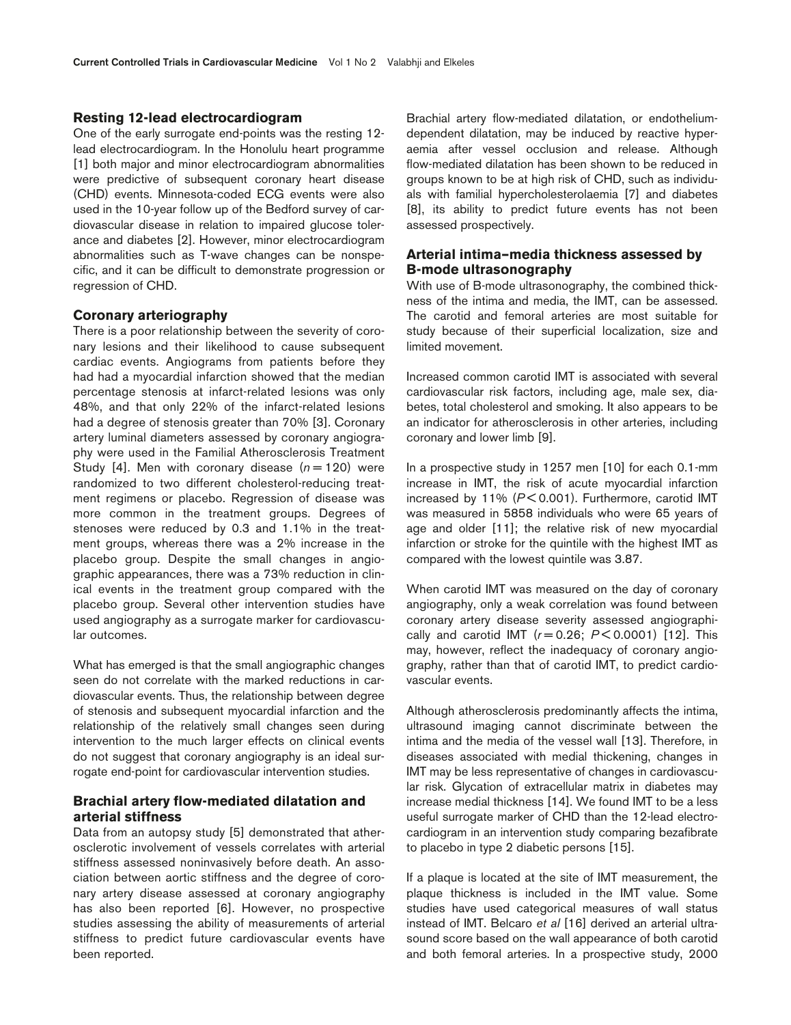#### **Resting 12-lead electrocardiogram**

One of the early surrogate end-points was the resting 12 lead electrocardiogram. In the Honolulu heart programme [1] both major and minor electrocardiogram abnormalities were predictive of subsequent coronary heart disease (CHD) events. Minnesota-coded ECG events were also used in the 10-year follow up of the Bedford survey of cardiovascular disease in relation to impaired glucose tolerance and diabetes [2]. However, minor electrocardiogram abnormalities such as T-wave changes can be nonspecific, and it can be difficult to demonstrate progression or regression of CHD.

## **Coronary arteriography**

There is a poor relationship between the severity of coronary lesions and their likelihood to cause subsequent cardiac events. Angiograms from patients before they had had a myocardial infarction showed that the median percentage stenosis at infarct-related lesions was only 48%, and that only 22% of the infarct-related lesions had a degree of stenosis greater than 70% [3]. Coronary artery luminal diameters assessed by coronary angiography were used in the Familial Atherosclerosis Treatment Study [4]. Men with coronary disease  $(n=120)$  were randomized to two different cholesterol-reducing treatment regimens or placebo. Regression of disease was more common in the treatment groups. Degrees of stenoses were reduced by 0.3 and 1.1% in the treatment groups, whereas there was a 2% increase in the placebo group. Despite the small changes in angiographic appearances, there was a 73% reduction in clinical events in the treatment group compared with the placebo group. Several other intervention studies have used angiography as a surrogate marker for cardiovascular outcomes.

What has emerged is that the small angiographic changes seen do not correlate with the marked reductions in cardiovascular events. Thus, the relationship between degree of stenosis and subsequent myocardial infarction and the relationship of the relatively small changes seen during intervention to the much larger effects on clinical events do not suggest that coronary angiography is an ideal surrogate end-point for cardiovascular intervention studies.

# **Brachial artery flow-mediated dilatation and arterial stiffness**

Data from an autopsy study [5] demonstrated that atherosclerotic involvement of vessels correlates with arterial stiffness assessed noninvasively before death. An association between aortic stiffness and the degree of coronary artery disease assessed at coronary angiography has also been reported [6]. However, no prospective studies assessing the ability of measurements of arterial stiffness to predict future cardiovascular events have been reported.

Brachial artery flow-mediated dilatation, or endotheliumdependent dilatation, may be induced by reactive hyperaemia after vessel occlusion and release. Although flow-mediated dilatation has been shown to be reduced in groups known to be at high risk of CHD, such as individuals with familial hypercholesterolaemia [7] and diabetes [8], its ability to predict future events has not been assessed prospectively.

## **Arterial intima–media thickness assessed by B-mode ultrasonography**

With use of B-mode ultrasonography, the combined thickness of the intima and media, the IMT, can be assessed. The carotid and femoral arteries are most suitable for study because of their superficial localization, size and limited movement.

Increased common carotid IMT is associated with several cardiovascular risk factors, including age, male sex, diabetes, total cholesterol and smoking. It also appears to be an indicator for atherosclerosis in other arteries, including coronary and lower limb [9].

In a prospective study in 1257 men [10] for each 0.1-mm increase in IMT, the risk of acute myocardial infarction increased by 11% (*P* < 0.001). Furthermore, carotid IMT was measured in 5858 individuals who were 65 years of age and older [11]; the relative risk of new myocardial infarction or stroke for the quintile with the highest IMT as compared with the lowest quintile was 3.87.

When carotid IMT was measured on the day of coronary angiography, only a weak correlation was found between coronary artery disease severity assessed angiographically and carotid IMT  $(r = 0.26; P < 0.0001)$  [12]. This may, however, reflect the inadequacy of coronary angiography, rather than that of carotid IMT, to predict cardiovascular events.

Although atherosclerosis predominantly affects the intima, ultrasound imaging cannot discriminate between the intima and the media of the vessel wall [13]. Therefore, in diseases associated with medial thickening, changes in IMT may be less representative of changes in cardiovascular risk. Glycation of extracellular matrix in diabetes may increase medial thickness [14]. We found IMT to be a less useful surrogate marker of CHD than the 12-lead electrocardiogram in an intervention study comparing bezafibrate to placebo in type 2 diabetic persons [15].

If a plaque is located at the site of IMT measurement, the plaque thickness is included in the IMT value. Some studies have used categorical measures of wall status instead of IMT. Belcaro *et al* [16] derived an arterial ultrasound score based on the wall appearance of both carotid and both femoral arteries. In a prospective study, 2000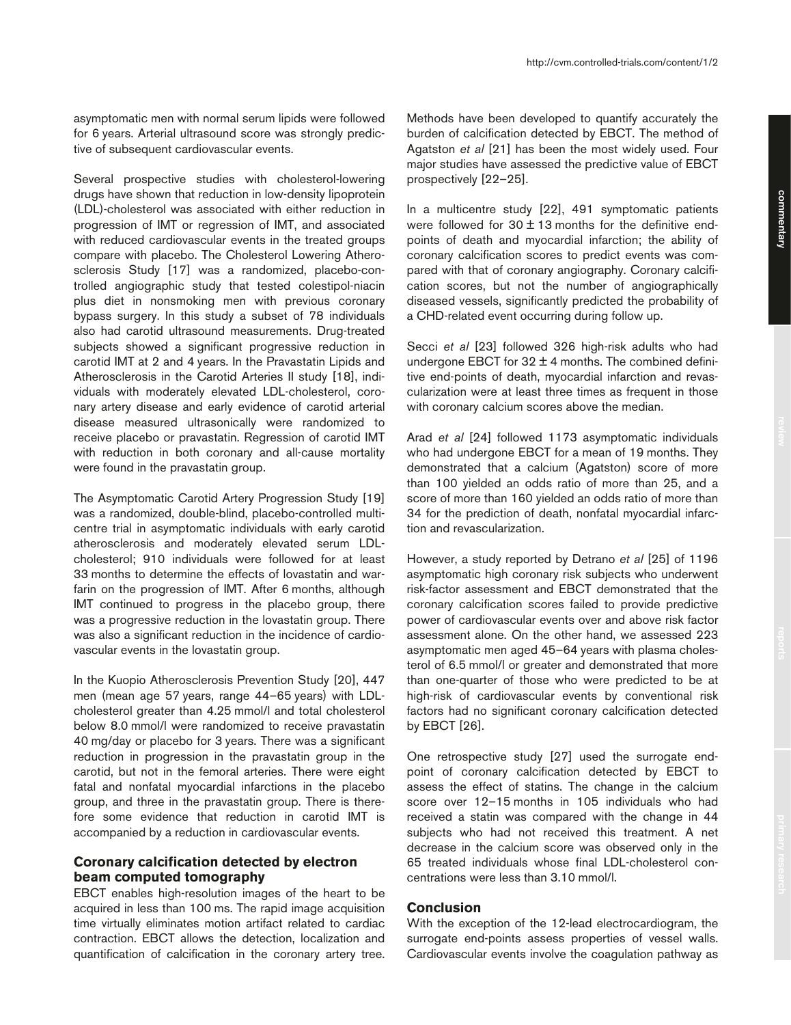asymptomatic men with normal serum lipids were followed for 6 years. Arterial ultrasound score was strongly predictive of subsequent cardiovascular events.

Several prospective studies with cholesterol-lowering drugs have shown that reduction in low-density lipoprotein (LDL)-cholesterol was associated with either reduction in progression of IMT or regression of IMT, and associated with reduced cardiovascular events in the treated groups compare with placebo. The Cholesterol Lowering Atherosclerosis Study [17] was a randomized, placebo-controlled angiographic study that tested colestipol-niacin plus diet in nonsmoking men with previous coronary bypass surgery. In this study a subset of 78 individuals also had carotid ultrasound measurements. Drug-treated subjects showed a significant progressive reduction in carotid IMT at 2 and 4 years. In the Pravastatin Lipids and Atherosclerosis in the Carotid Arteries II study [18], individuals with moderately elevated LDL-cholesterol, coronary artery disease and early evidence of carotid arterial disease measured ultrasonically were randomized to receive placebo or pravastatin. Regression of carotid IMT with reduction in both coronary and all-cause mortality were found in the pravastatin group.

The Asymptomatic Carotid Artery Progression Study [19] was a randomized, double-blind, placebo-controlled multicentre trial in asymptomatic individuals with early carotid atherosclerosis and moderately elevated serum LDLcholesterol; 910 individuals were followed for at least 33 months to determine the effects of lovastatin and warfarin on the progression of IMT. After 6 months, although IMT continued to progress in the placebo group, there was a progressive reduction in the lovastatin group. There was also a significant reduction in the incidence of cardiovascular events in the lovastatin group.

In the Kuopio Atherosclerosis Prevention Study [20], 447 men (mean age 57 years, range 44–65 years) with LDLcholesterol greater than 4.25 mmol/l and total cholesterol below 8.0 mmol/l were randomized to receive pravastatin 40 mg/day or placebo for 3 years. There was a significant reduction in progression in the pravastatin group in the carotid, but not in the femoral arteries. There were eight fatal and nonfatal myocardial infarctions in the placebo group, and three in the pravastatin group. There is therefore some evidence that reduction in carotid IMT is accompanied by a reduction in cardiovascular events.

#### **Coronary calcification detected by electron beam computed tomography**

EBCT enables high-resolution images of the heart to be acquired in less than 100 ms. The rapid image acquisition time virtually eliminates motion artifact related to cardiac contraction. EBCT allows the detection, localization and quantification of calcification in the coronary artery tree.

Methods have been developed to quantify accurately the burden of calcification detected by EBCT. The method of Agatston *et al* [21] has been the most widely used. Four major studies have assessed the predictive value of EBCT prospectively [22–25].

In a multicentre study [22], 491 symptomatic patients were followed for  $30 \pm 13$  months for the definitive endpoints of death and myocardial infarction; the ability of coronary calcification scores to predict events was compared with that of coronary angiography. Coronary calcification scores, but not the number of angiographically diseased vessels, significantly predicted the probability of a CHD-related event occurring during follow up.

Secci *et al* [23] followed 326 high-risk adults who had undergone EBCT for  $32 \pm 4$  months. The combined definitive end-points of death, myocardial infarction and revascularization were at least three times as frequent in those with coronary calcium scores above the median.

Arad *et al* [24] followed 1173 asymptomatic individuals who had undergone EBCT for a mean of 19 months. They demonstrated that a calcium (Agatston) score of more than 100 yielded an odds ratio of more than 25, and a score of more than 160 yielded an odds ratio of more than 34 for the prediction of death, nonfatal myocardial infarction and revascularization.

However, a study reported by Detrano *et al* [25] of 1196 asymptomatic high coronary risk subjects who underwent risk-factor assessment and EBCT demonstrated that the coronary calcification scores failed to provide predictive power of cardiovascular events over and above risk factor assessment alone. On the other hand, we assessed 223 asymptomatic men aged 45–64 years with plasma cholesterol of 6.5 mmol/l or greater and demonstrated that more than one-quarter of those who were predicted to be at high-risk of cardiovascular events by conventional risk factors had no significant coronary calcification detected by EBCT [26].

One retrospective study [27] used the surrogate endpoint of coronary calcification detected by EBCT to assess the effect of statins. The change in the calcium score over 12–15 months in 105 individuals who had received a statin was compared with the change in 44 subjects who had not received this treatment. A net decrease in the calcium score was observed only in the 65 treated individuals whose final LDL-cholesterol concentrations were less than 3.10 mmol/l.

# **Conclusion**

With the exception of the 12-lead electrocardiogram, the surrogate end-points assess properties of vessel walls. Cardiovascular events involve the coagulation pathway as